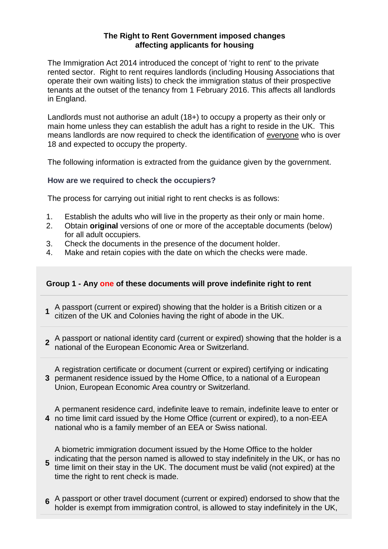### **The Right to Rent Government imposed changes affecting applicants for housing**

The Immigration Act 2014 introduced the concept of 'right to rent' to the private rented sector. Right to rent requires landlords (including Housing Associations that operate their own waiting lists) to check the immigration status of their prospective tenants at the outset of the tenancy from 1 February 2016. This affects all landlords in England.

Landlords must not authorise an adult (18+) to occupy a property as their only or main home unless they can establish the adult has a right to reside in the UK. This means landlords are now required to check the identification of everyone who is over 18 and expected to occupy the property.

The following information is extracted from the guidance given by the government.

#### **How are we required to check the occupiers?**

The process for carrying out initial right to rent checks is as follows:

- 1. Establish the adults who will live in the property as their only or main home.
- 2. Obtain **original** versions of one or more of the acceptable documents (below) for all adult occupiers.
- 3. Check the documents in the presence of the document holder.
- 4. Make and retain copies with the date on which the checks were made.

## **Group 1 - Any one of these documents will prove indefinite right to rent**

- 1 A passport (current or expired) showing that the holder is a British citizen or a<br>citizen of the LIK and Colonias boying the right of shode in the LIK citizen of the UK and Colonies having the right of abode in the UK.
- 2 A passport or national identity card (current or expired) showing that the holder is a<br>**2** notional of the European Economic Area or Switzerland national of the European Economic Area or Switzerland.
- **3** permanent residence issued by the Home Office, to a national of a European A registration certificate or document (current or expired) certifying or indicating Union, European Economic Area country or Switzerland.
- **4** no time limit card issued by the Home Office (current or expired), to a non-EEA A permanent residence card, indefinite leave to remain, indefinite leave to enter or national who is a family member of an EEA or Swiss national.

**5** indicating that the person named is allowed to stay indefinitely in the UK, or has no<br>time limit on their stay in the UK. The degument must be valid (not evaiced) at the A biometric immigration document issued by the Home Office to the holder time limit on their stay in the UK. The document must be valid (not expired) at the time the right to rent check is made.

**6** A passport or other travel document (current or expired) endorsed to show that the holder is exempt from immigration control, is allowed to stay indefinitely in the UK,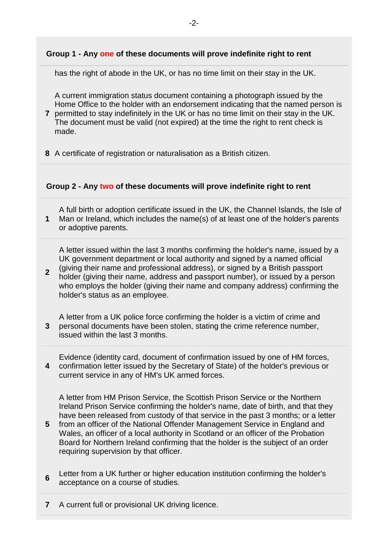# **Group 1 - Any one of these documents will prove indefinite right to rent**

has the right of abode in the UK, or has no time limit on their stay in the UK.

A current immigration status document containing a photograph issued by the Home Office to the holder with an endorsement indicating that the named person is

- **7** permitted to stay indefinitely in the UK or has no time limit on their stay in the UK. The document must be valid (not expired) at the time the right to rent check is made.
- **8** A certificate of registration or naturalisation as a British citizen.

## **Group 2 - Any two of these documents will prove indefinite right to rent**

**1** A full birth or adoption certificate issued in the UK, the Channel Islands, the Isle of Man or Ireland, which includes the name(s) of at least one of the holder's parents or adoptive parents.

A letter issued within the last 3 months confirming the holder's name, issued by a UK government department or local authority and signed by a named official (giving their name and professional address), or signed by a British passport

- **2** holder (giving their name, address and passport number), or issued by a person who employs the holder (giving their name and company address) confirming the holder's status as an employee.
- **3** A letter from a UK police force confirming the holder is a victim of crime and personal documents have been stolen, stating the crime reference number, issued within the last 3 months.
- **4** Evidence (identity card, document of confirmation issued by one of HM forces, confirmation letter issued by the Secretary of State) of the holder's previous or current service in any of HM's UK armed forces.

A letter from HM Prison Service, the Scottish Prison Service or the Northern Ireland Prison Service confirming the holder's name, date of birth, and that they have been released from custody of that service in the past 3 months; or a letter

- **5** from an officer of the National Offender Management Service in England and Wales, an officer of a local authority in Scotland or an officer of the Probation Board for Northern Ireland confirming that the holder is the subject of an order requiring supervision by that officer.
- **6** Letter from a UK further or higher education institution confirming the holder's acceptance on a course of studies.
- **7** A current full or provisional UK driving licence.